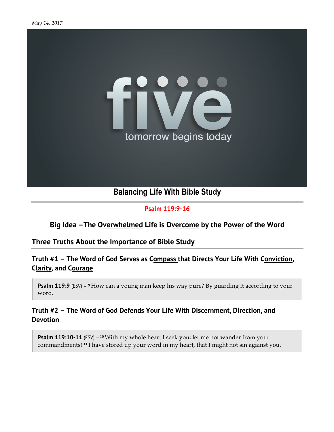

**Psalm 119:9-16**

#### **Big Idea –The Overwhelmed Life is Overcome by the Power of the Word**

# **Three Truths About the Importance of Bible Study**

**Truth #1 – The Word of God Serves as Compass that Directs Your Life With Conviction, Clarity, and Courage**

**Psalm 119:9** (ESV) – <sup>9</sup> How can a young man keep his way pure? By guarding it according to your word.

#### **Truth #2 – The Word of God Defends Your Life With Discernment, Direction, and Devotion**

**Psalm 119:10-11** (ESV) – <sup>10</sup> With my whole heart I seek you; let me not wander from your commandments! **<sup>11</sup>** I have stored up your word in my heart, that I might not sin against you.